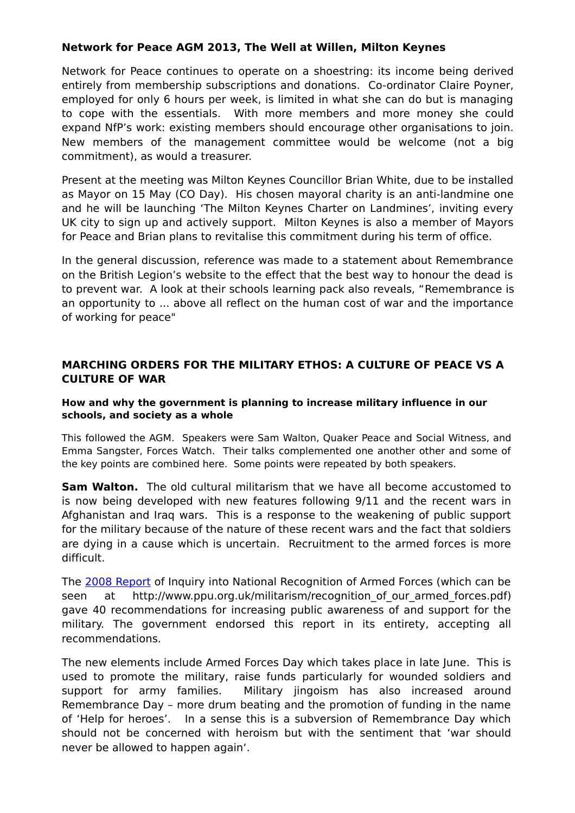## **Network for Peace AGM 2013, The Well at Willen, Milton Keynes**

Network for Peace continues to operate on a shoestring: its income being derived entirely from membership subscriptions and donations. Co-ordinator Claire Poyner, employed for only 6 hours per week, is limited in what she can do but is managing to cope with the essentials. With more members and more money she could expand NfP's work: existing members should encourage other organisations to join. New members of the management committee would be welcome (not a big commitment), as would a treasurer.

Present at the meeting was Milton Keynes Councillor Brian White, due to be installed as Mayor on 15 May (CO Day). His chosen mayoral charity is an anti-landmine one and he will be launching 'The Milton Keynes Charter on Landmines', inviting every UK city to sign up and actively support. Milton Keynes is also a member of Mayors for Peace and Brian plans to revitalise this commitment during his term of office.

In the general discussion, reference was made to a statement about Remembrance on the British Legion's website to the effect that the best way to honour the dead is to prevent war. A look at their schools learning pack also reveals, "Remembrance is an opportunity to ... above all reflect on the human cost of war and the importance of working for peace"

## **MARCHING ORDERS FOR THE MILITARY ETHOS: A CULTURE OF PEACE VS A CULTURE OF WAR**

## **How and why the government is planning to increase military influence in our schools, and society as a whole**

This followed the AGM. Speakers were Sam Walton, Quaker Peace and Social Witness, and Emma Sangster, Forces Watch. Their talks complemented one another other and some of the key points are combined here. Some points were repeated by both speakers.

**Sam Walton.** The old cultural militarism that we have all become accustomed to is now being developed with new features following 9/11 and the recent wars in Afghanistan and Iraq wars. This is a response to the weakening of public support for the military because of the nature of these recent wars and the fact that soldiers are dying in a cause which is uncertain. Recruitment to the armed forces is more difficult.

The [2008 Report](http://www.ppu.org.uk/militarism/recognition_of_our_armed_forces.pdf) of Inquiry into National Recognition of Armed Forces (which can be seen at http://www.ppu.org.uk/militarism/recognition of our armed forces.pdf) gave 40 recommendations for increasing public awareness of and support for the military. The government endorsed this report in its entirety, accepting all recommendations.

The new elements include Armed Forces Day which takes place in late June. This is used to promote the military, raise funds particularly for wounded soldiers and support for army families. Military jingoism has also increased around Remembrance Day – more drum beating and the promotion of funding in the name of 'Help for heroes'. In a sense this is a subversion of Remembrance Day which should not be concerned with heroism but with the sentiment that 'war should never be allowed to happen again'.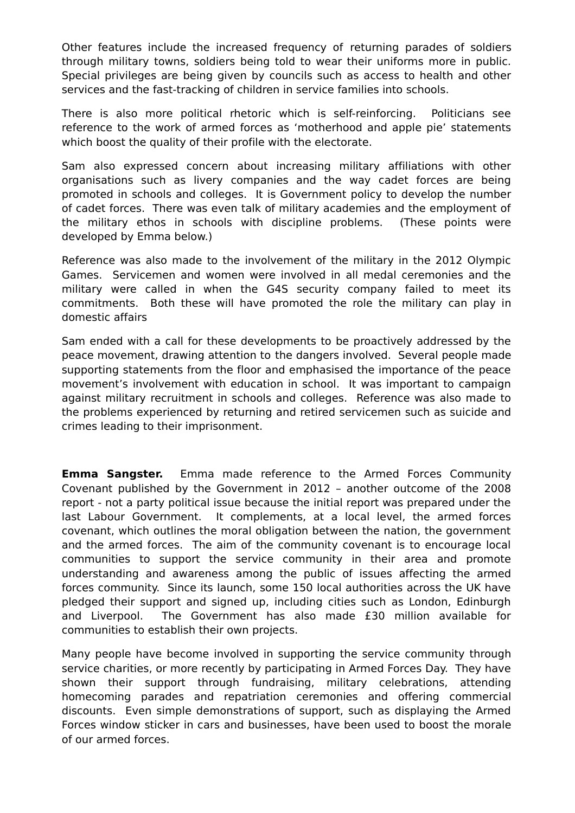Other features include the increased frequency of returning parades of soldiers through military towns, soldiers being told to wear their uniforms more in public. Special privileges are being given by councils such as access to health and other services and the fast-tracking of children in service families into schools.

There is also more political rhetoric which is self-reinforcing. Politicians see reference to the work of armed forces as 'motherhood and apple pie' statements which boost the quality of their profile with the electorate.

Sam also expressed concern about increasing military affiliations with other organisations such as livery companies and the way cadet forces are being promoted in schools and colleges. It is Government policy to develop the number of cadet forces. There was even talk of military academies and the employment of the military ethos in schools with discipline problems. (These points were developed by Emma below.)

Reference was also made to the involvement of the military in the 2012 Olympic Games. Servicemen and women were involved in all medal ceremonies and the military were called in when the G4S security company failed to meet its commitments. Both these will have promoted the role the military can play in domestic affairs

Sam ended with a call for these developments to be proactively addressed by the peace movement, drawing attention to the dangers involved. Several people made supporting statements from the floor and emphasised the importance of the peace movement's involvement with education in school. It was important to campaign against military recruitment in schools and colleges. Reference was also made to the problems experienced by returning and retired servicemen such as suicide and crimes leading to their imprisonment.

**Emma Sangster.** Emma made reference to the Armed Forces Community Covenant published by the Government in 2012 – another outcome of the 2008 report - not a party political issue because the initial report was prepared under the last Labour Government. It complements, at a local level, the armed forces covenant, which outlines the moral obligation between the nation, the government and the armed forces. The aim of the community covenant is to encourage local communities to support the service community in their area and promote understanding and awareness among the public of issues affecting the armed forces community. Since its launch, some 150 local authorities across the UK have pledged their support and signed up, including cities such as London, Edinburgh and Liverpool. The Government has also made £30 million available for communities to establish their own projects.

Many people have become involved in supporting the service community through service charities, or more recently by participating in Armed Forces Day. They have shown their support through fundraising, military celebrations, attending homecoming parades and repatriation ceremonies and offering commercial discounts. Even simple demonstrations of support, such as displaying the Armed Forces window sticker in cars and businesses, have been used to boost the morale of our armed forces.